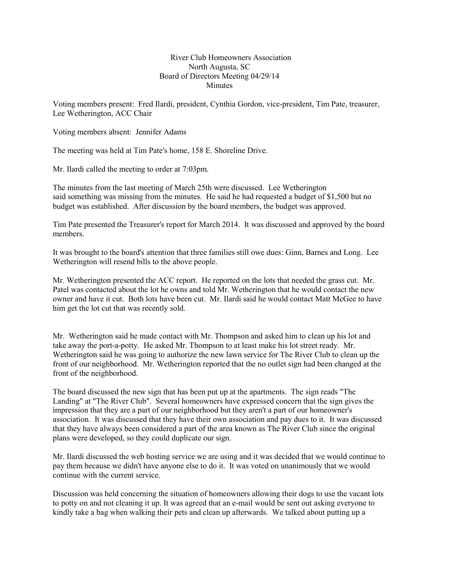## River Club Homeowners Association North Augusta, SC Board of Directors Meeting 04/29/14 Minutes

Voting members present: Fred Ilardi, president, Cynthia Gordon, vice-president, Tim Pate, treasurer, Lee Wetherington, ACC Chair

Voting members absent: Jennifer Adams

The meeting was held at Tim Pate's home, 158 E. Shoreline Drive.

Mr. Ilardi called the meeting to order at 7:03pm.

The minutes from the last meeting of March 25th were discussed. Lee Wetherington said something was missing from the minutes. He said he had requested a budget of \$1,500 but no budget was established. After discussion by the board members, the budget was approved.

Tim Pate presented the Treasurer's report for March 2014. It was discussed and approved by the board members.

It was brought to the board's attention that three families still owe dues: Ginn, Barnes and Long. Lee Wetherington will resend bills to the above people.

Mr. Wetherington presented the ACC report. He reported on the lots that needed the grass cut. Mr. Patel was contacted about the lot he owns and told Mr. Wetherington that he would contact the new owner and have it cut. Both lots have been cut. Mr. Ilardi said he would contact Matt McGee to have him get the lot cut that was recently sold.

Mr. Wetherington said he made contact with Mr. Thompson and asked him to clean up his lot and take away the port-a-potty. He asked Mr. Thompson to at least make his lot street ready. Mr. Wetherington said he was going to authorize the new lawn service for The River Club to clean up the front of our neighborhood. Mr. Wetherington reported that the no outlet sign had been changed at the front of the neighborhood.

The board discussed the new sign that has been put up at the apartments. The sign reads "The Landing" at "The River Club". Several homeowners have expressed concern that the sign gives the impression that they are a part of our neighborhood but they aren't a part of our homeowner's association. It was discussed that they have their own association and pay dues to it. It was discussed that they have always been considered a part of the area known as The River Club since the original plans were developed, so they could duplicate our sign.

Mr. Ilardi discussed the web hosting service we are using and it was decided that we would continue to pay them because we didn't have anyone else to do it. It was voted on unanimously that we would continue with the current service.

Discussion was held concerning the situation of homeowners allowing their dogs to use the vacant lots to potty on and not cleaning it up. It was agreed that an e-mail would be sent out asking everyone to kindly take a bag when walking their pets and clean up afterwards. We talked about putting up a